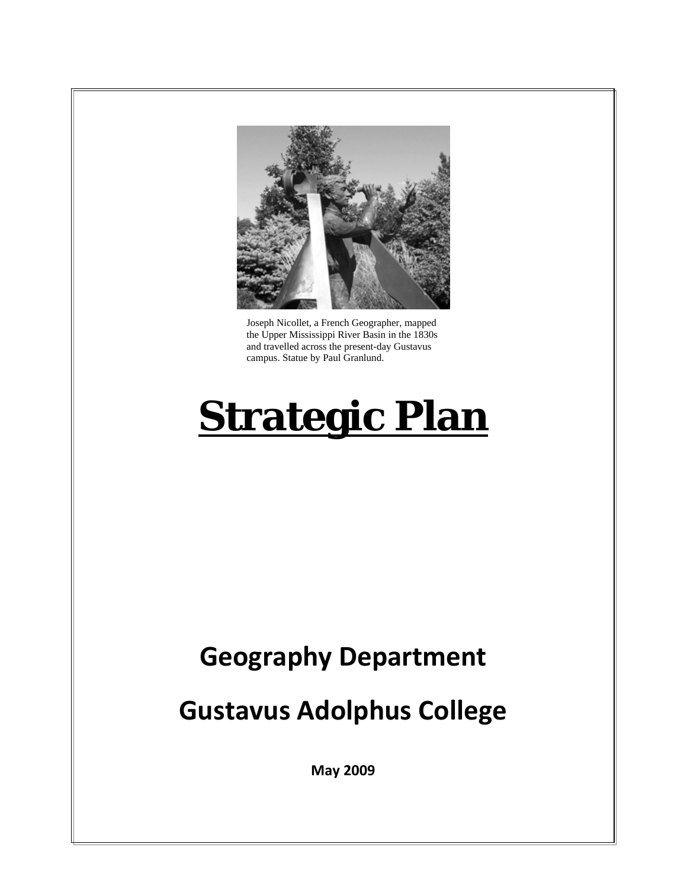

Joseph Nicollet, a French Geographer, mapped the Upper Mississippi River Basin in the 1830s and travelled across the present-day Gustavus campus. Statue by Paul Granlund.

# **Strategic Plan**

# **Geography Department**

# **Gustavus Adolphus College**

**May 2009**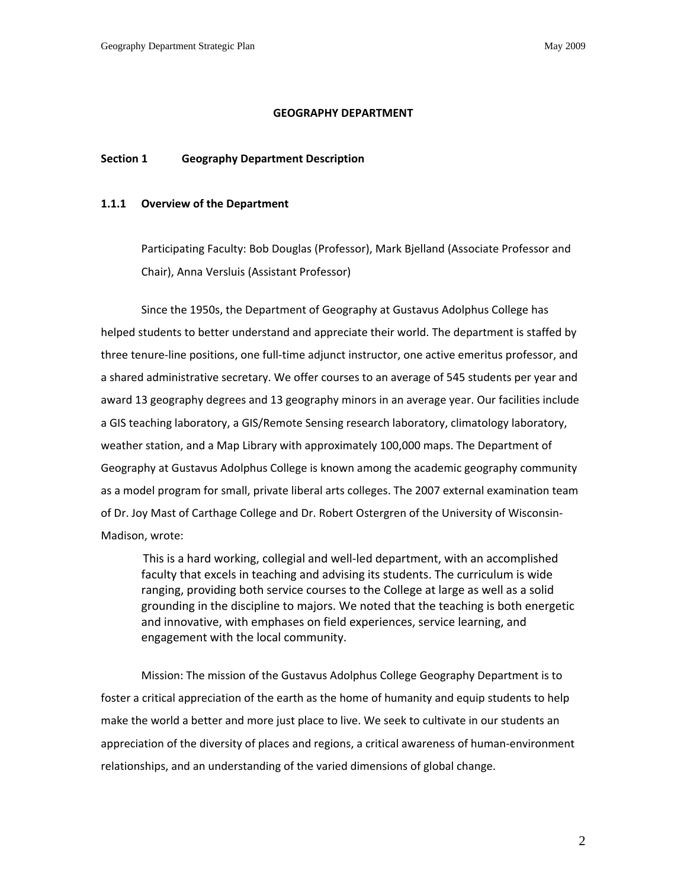#### **GEOGRAPHY DEPARTMENT**

# **Section 1 Geography Department Description**

## **1.1.1 Overview of the Department**

Participating Faculty: Bob Douglas (Professor), Mark Bjelland (Associate Professor and Chair), Anna Versluis (Assistant Professor)

Since the 1950s, the Department of Geography at Gustavus Adolphus College has helped students to better understand and appreciate their world. The department is staffed by three tenure‐line positions, one full‐time adjunct instructor, one active emeritus professor, and a shared administrative secretary. We offer courses to an average of 545 students per year and award 13 geography degrees and 13 geography minors in an average year. Our facilities include a GIS teaching laboratory, a GIS/Remote Sensing research laboratory, climatology laboratory, weather station, and a Map Library with approximately 100,000 maps. The Department of Geography at Gustavus Adolphus College is known among the academic geography community as a model program for small, private liberal arts colleges. The 2007 external examination team of Dr. Joy Mast of Carthage College and Dr. Robert Ostergren of the University of Wisconsin‐ Madison, wrote:

This is a hard working, collegial and well‐led department, with an accomplished faculty that excels in teaching and advising its students. The curriculum is wide ranging, providing both service courses to the College at large as well as a solid grounding in the discipline to majors. We noted that the teaching is both energetic and innovative, with emphases on field experiences, service learning, and engagement with the local community.

Mission: The mission of the Gustavus Adolphus College Geography Department is to foster a critical appreciation of the earth as the home of humanity and equip students to help make the world a better and more just place to live. We seek to cultivate in our students an appreciation of the diversity of places and regions, a critical awareness of human‐environment relationships, and an understanding of the varied dimensions of global change.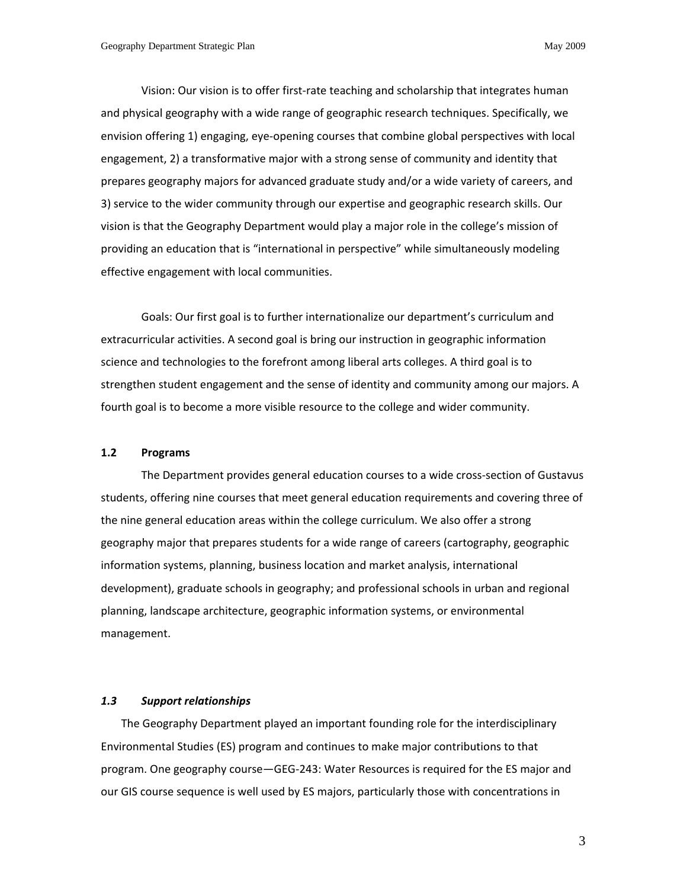Vision: Our vision is to offer first-rate teaching and scholarship that integrates human and physical geography with a wide range of geographic research techniques. Specifically, we envision offering 1) engaging, eye‐opening courses that combine global perspectives with local engagement, 2) a transformative major with a strong sense of community and identity that prepares geography majors for advanced graduate study and/or a wide variety of careers, and 3) service to the wider community through our expertise and geographic research skills. Our vision is that the Geography Department would play a major role in the college's mission of providing an education that is "international in perspective" while simultaneously modeling effective engagement with local communities.

Goals: Our first goal is to further internationalize our department's curriculum and extracurricular activities. A second goal is bring our instruction in geographic information science and technologies to the forefront among liberal arts colleges. A third goal is to strengthen student engagement and the sense of identity and community among our majors. A fourth goal is to become a more visible resource to the college and wider community.

#### **1.2 Programs**

The Department provides general education courses to a wide cross‐section of Gustavus students, offering nine courses that meet general education requirements and covering three of the nine general education areas within the college curriculum. We also offer a strong geography major that prepares students for a wide range of careers (cartography, geographic information systems, planning, business location and market analysis, international development), graduate schools in geography; and professional schools in urban and regional planning, landscape architecture, geographic information systems, or environmental management.

#### *1.3 Support relationships*

The Geography Department played an important founding role for the interdisciplinary Environmental Studies (ES) program and continues to make major contributions to that program. One geography course—GEG‐243: Water Resources is required for the ES major and our GIS course sequence is well used by ES majors, particularly those with concentrations in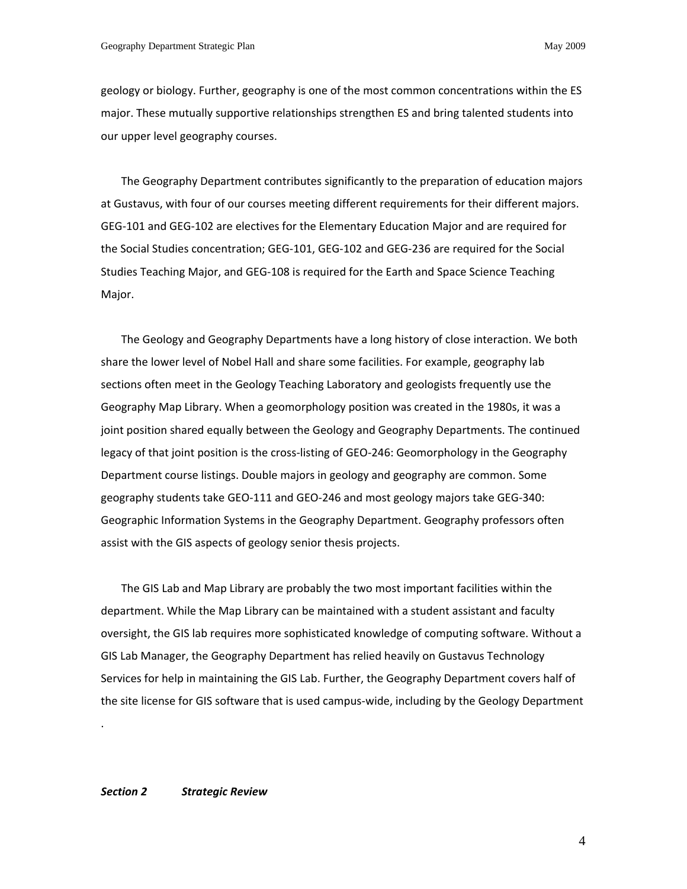geology or biology. Further, geography is one of the most common concentrations within the ES major. These mutually supportive relationships strengthen ES and bring talented students into our upper level geography courses.

The Geography Department contributes significantly to the preparation of education majors at Gustavus, with four of our courses meeting different requirements for their different majors. GEG‐101 and GEG‐102 are electives for the Elementary Education Major and are required for the Social Studies concentration; GEG‐101, GEG‐102 and GEG‐236 are required for the Social Studies Teaching Major, and GEG‐108 is required for the Earth and Space Science Teaching Major.

The Geology and Geography Departments have a long history of close interaction. We both share the lower level of Nobel Hall and share some facilities. For example, geography lab sections often meet in the Geology Teaching Laboratory and geologists frequently use the Geography Map Library. When a geomorphology position was created in the 1980s, it was a joint position shared equally between the Geology and Geography Departments. The continued legacy of that joint position is the cross‐listing of GEO‐246: Geomorphology in the Geography Department course listings. Double majors in geology and geography are common. Some geography students take GEO‐111 and GEO‐246 and most geology majors take GEG‐340: Geographic Information Systems in the Geography Department. Geography professors often assist with the GIS aspects of geology senior thesis projects.

The GIS Lab and Map Library are probably the two most important facilities within the department. While the Map Library can be maintained with a student assistant and faculty oversight, the GIS lab requires more sophisticated knowledge of computing software. Without a GIS Lab Manager, the Geography Department has relied heavily on Gustavus Technology Services for help in maintaining the GIS Lab. Further, the Geography Department covers half of the site license for GIS software that is used campus‐wide, including by the Geology Department

# *Section 2 Strategic Review*

.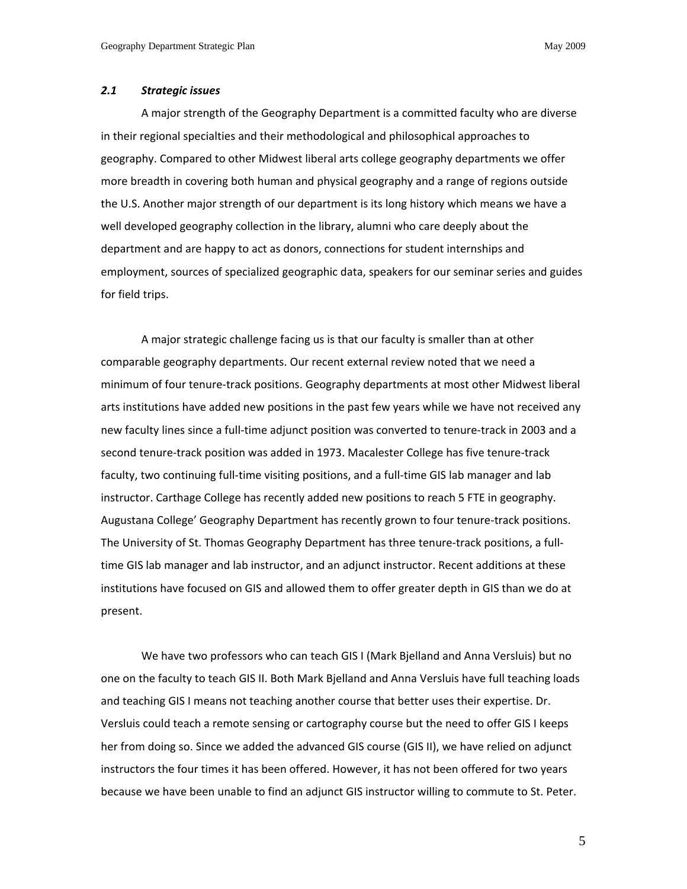# *2.1 Strategic issues*

A major strength of the Geography Department is a committed faculty who are diverse in their regional specialties and their methodological and philosophical approaches to geography. Compared to other Midwest liberal arts college geography departments we offer more breadth in covering both human and physical geography and a range of regions outside the U.S. Another major strength of our department is its long history which means we have a well developed geography collection in the library, alumni who care deeply about the department and are happy to act as donors, connections for student internships and employment, sources of specialized geographic data, speakers for our seminar series and guides for field trips.

A major strategic challenge facing us is that our faculty is smaller than at other comparable geography departments. Our recent external review noted that we need a minimum of four tenure‐track positions. Geography departments at most other Midwest liberal arts institutions have added new positions in the past few years while we have not received any new faculty lines since a full‐time adjunct position was converted to tenure‐track in 2003 and a second tenure-track position was added in 1973. Macalester College has five tenure-track faculty, two continuing full-time visiting positions, and a full-time GIS lab manager and lab instructor. Carthage College has recently added new positions to reach 5 FTE in geography. Augustana College' Geography Department has recently grown to four tenure‐track positions. The University of St. Thomas Geography Department has three tenure-track positions, a fulltime GIS lab manager and lab instructor, and an adjunct instructor. Recent additions at these institutions have focused on GIS and allowed them to offer greater depth in GIS than we do at present.

We have two professors who can teach GIS I (Mark Bjelland and Anna Versluis) but no one on the faculty to teach GIS II. Both Mark Bjelland and Anna Versluis have full teaching loads and teaching GIS I means not teaching another course that better uses their expertise. Dr. Versluis could teach a remote sensing or cartography course but the need to offer GIS I keeps her from doing so. Since we added the advanced GIS course (GIS II), we have relied on adjunct instructors the four times it has been offered. However, it has not been offered for two years because we have been unable to find an adjunct GIS instructor willing to commute to St. Peter.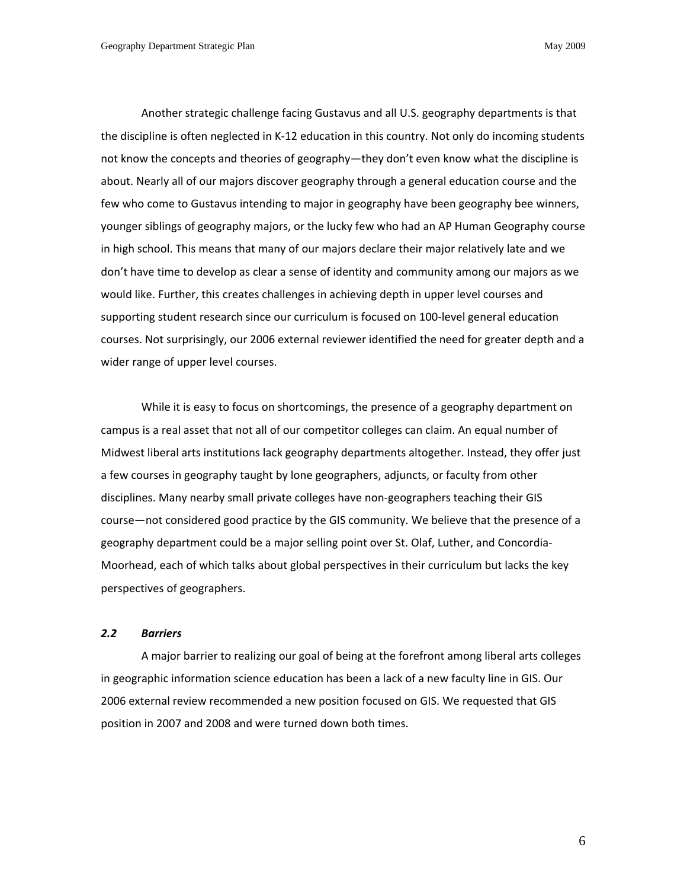Another strategic challenge facing Gustavus and all U.S. geography departments is that the discipline is often neglected in K‐12 education in this country. Not only do incoming students not know the concepts and theories of geography—they don't even know what the discipline is about. Nearly all of our majors discover geography through a general education course and the few who come to Gustavus intending to major in geography have been geography bee winners, younger siblings of geography majors, or the lucky few who had an AP Human Geography course in high school. This means that many of our majors declare their major relatively late and we don't have time to develop as clear a sense of identity and community among our majors as we would like. Further, this creates challenges in achieving depth in upper level courses and supporting student research since our curriculum is focused on 100‐level general education courses. Not surprisingly, our 2006 external reviewer identified the need for greater depth and a wider range of upper level courses.

While it is easy to focus on shortcomings, the presence of a geography department on campus is a real asset that not all of our competitor colleges can claim. An equal number of Midwest liberal arts institutions lack geography departments altogether. Instead, they offer just a few courses in geography taught by lone geographers, adjuncts, or faculty from other disciplines. Many nearby small private colleges have non‐geographers teaching their GIS course—not considered good practice by the GIS community. We believe that the presence of a geography department could be a major selling point over St. Olaf, Luther, and Concordia‐ Moorhead, each of which talks about global perspectives in their curriculum but lacks the key perspectives of geographers.

## *2.2 Barriers*

A major barrier to realizing our goal of being at the forefront among liberal arts colleges in geographic information science education has been a lack of a new faculty line in GIS. Our 2006 external review recommended a new position focused on GIS. We requested that GIS position in 2007 and 2008 and were turned down both times.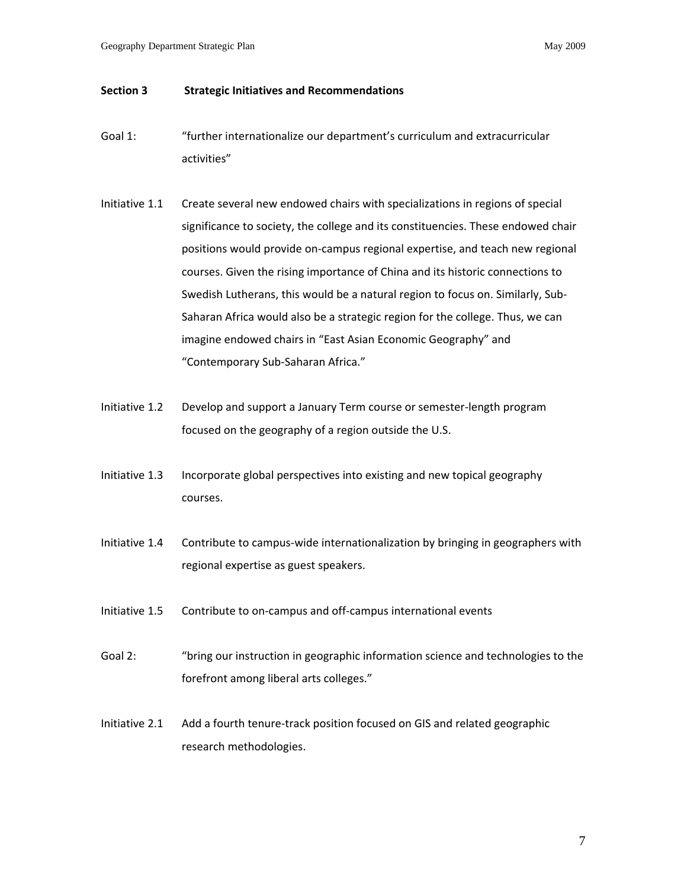# **Section 3 Strategic Initiatives and Recommendations**

- Goal 1: "further internationalize our department's curriculum and extracurricular activities"
- Initiative 1.1 Create several new endowed chairs with specializations in regions of special significance to society, the college and its constituencies. These endowed chair positions would provide on‐campus regional expertise, and teach new regional courses. Given the rising importance of China and its historic connections to Swedish Lutherans, this would be a natural region to focus on. Similarly, Sub‐ Saharan Africa would also be a strategic region for the college. Thus, we can imagine endowed chairs in "East Asian Economic Geography" and "Contemporary Sub‐Saharan Africa."
- Initiative 1.2 Develop and support a January Term course or semester‐length program focused on the geography of a region outside the U.S.
- Initiative 1.3 Incorporate global perspectives into existing and new topical geography courses.
- Initiative 1.4 Contribute to campus‐wide internationalization by bringing in geographers with regional expertise as guest speakers.
- Initiative 1.5 Contribute to on‐campus and off‐campus international events
- Goal 2: "bring our instruction in geographic information science and technologies to the forefront among liberal arts colleges."
- Initiative 2.1 Add a fourth tenure‐track position focused on GIS and related geographic research methodologies.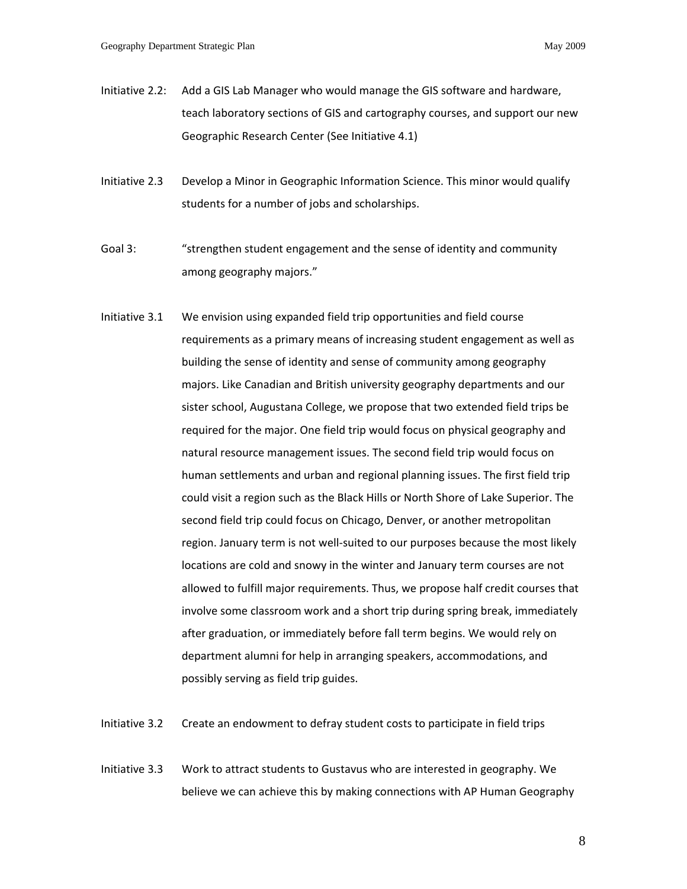- Initiative 2.2: Add a GIS Lab Manager who would manage the GIS software and hardware, teach laboratory sections of GIS and cartography courses, and support our new Geographic Research Center (See Initiative 4.1)
- Initiative 2.3 Develop a Minor in Geographic Information Science. This minor would qualify students for a number of jobs and scholarships.
- Goal 3: "strengthen student engagement and the sense of identity and community among geography majors."
- Initiative 3.1 We envision using expanded field trip opportunities and field course requirements as a primary means of increasing student engagement as well as building the sense of identity and sense of community among geography majors. Like Canadian and British university geography departments and our sister school, Augustana College, we propose that two extended field trips be required for the major. One field trip would focus on physical geography and natural resource management issues. The second field trip would focus on human settlements and urban and regional planning issues. The first field trip could visit a region such as the Black Hills or North Shore of Lake Superior. The second field trip could focus on Chicago, Denver, or another metropolitan region. January term is not well‐suited to our purposes because the most likely locations are cold and snowy in the winter and January term courses are not allowed to fulfill major requirements. Thus, we propose half credit courses that involve some classroom work and a short trip during spring break, immediately after graduation, or immediately before fall term begins. We would rely on department alumni for help in arranging speakers, accommodations, and possibly serving as field trip guides.
- Initiative 3.2 Create an endowment to defray student costs to participate in field trips
- Initiative 3.3 Work to attract students to Gustavus who are interested in geography. We believe we can achieve this by making connections with AP Human Geography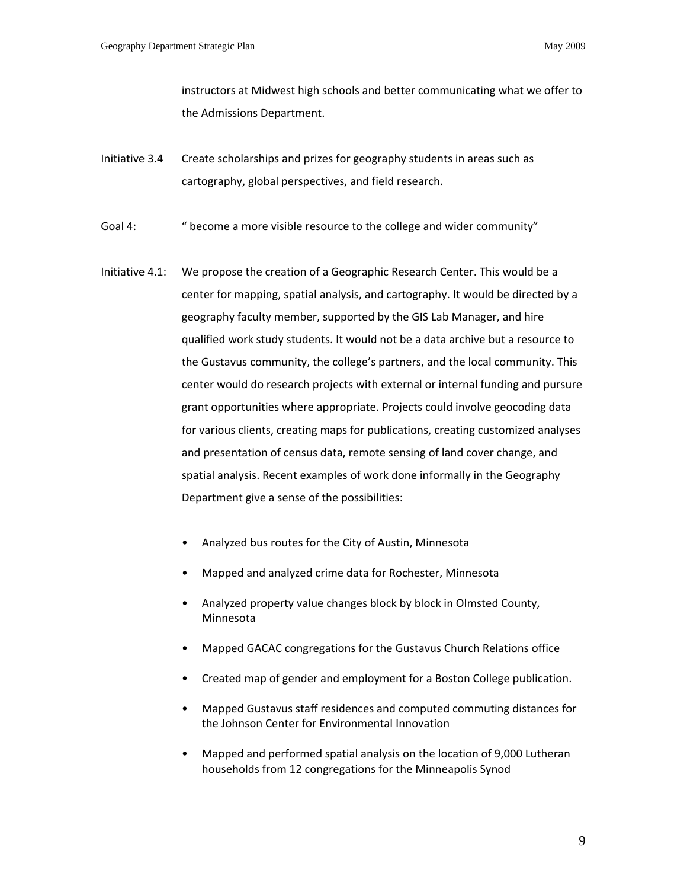instructors at Midwest high schools and better communicating what we offer to the Admissions Department.

- Initiative 3.4 Create scholarships and prizes for geography students in areas such as cartography, global perspectives, and field research.
- Goal 4: " become a more visible resource to the college and wider community"
- Initiative 4.1: We propose the creation of a Geographic Research Center. This would be a center for mapping, spatial analysis, and cartography. It would be directed by a geography faculty member, supported by the GIS Lab Manager, and hire qualified work study students. It would not be a data archive but a resource to the Gustavus community, the college's partners, and the local community. This center would do research projects with external or internal funding and pursure grant opportunities where appropriate. Projects could involve geocoding data for various clients, creating maps for publications, creating customized analyses and presentation of census data, remote sensing of land cover change, and spatial analysis. Recent examples of work done informally in the Geography Department give a sense of the possibilities:
	- Analyzed bus routes for the City of Austin, Minnesota
	- Mapped and analyzed crime data for Rochester, Minnesota
	- Analyzed property value changes block by block in Olmsted County, Minnesota
	- Mapped GACAC congregations for the Gustavus Church Relations office
	- Created map of gender and employment for a Boston College publication.
	- Mapped Gustavus staff residences and computed commuting distances for the Johnson Center for Environmental Innovation
	- Mapped and performed spatial analysis on the location of 9,000 Lutheran households from 12 congregations for the Minneapolis Synod